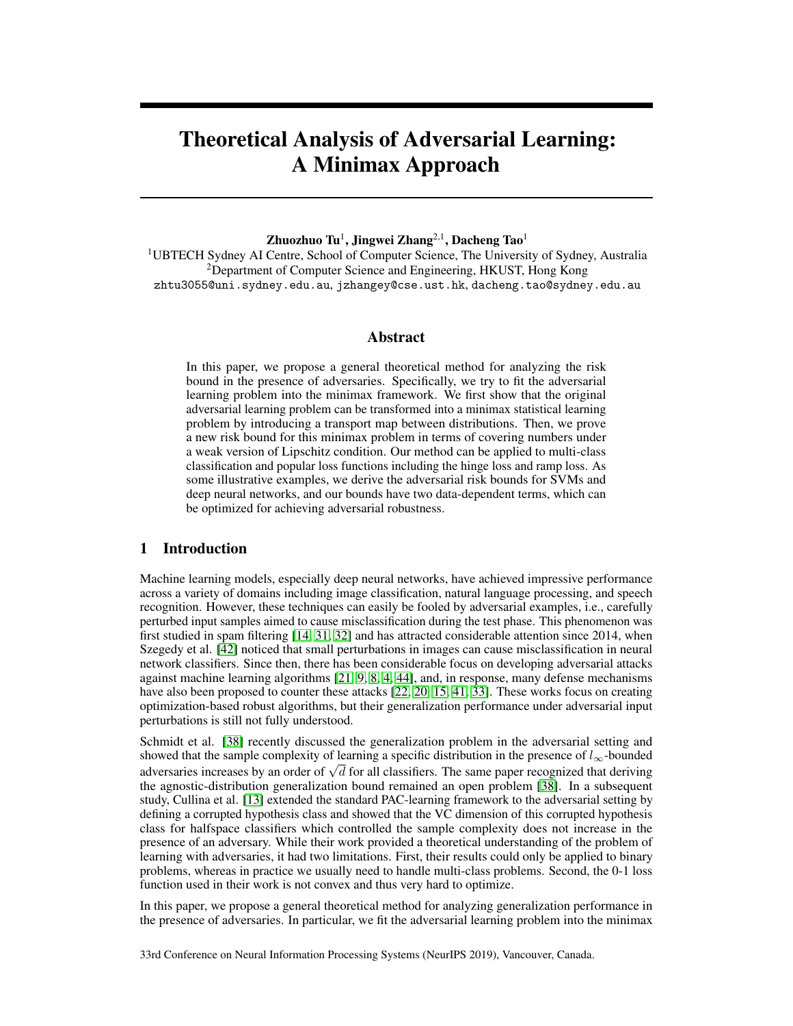# Theoretical Analysis of Adversarial Learning: A Minimax Approach

## Zhuozhuo Tu $^1$ , Jingwei Zhang $^{2,1}$ , Dacheng Tao $^1$

<sup>1</sup>UBTECH Sydney AI Centre, School of Computer Science, The University of Sydney, Australia <sup>2</sup>Department of Computer Science and Engineering, HKUST, Hong Kong zhtu3055@uni.sydney.edu.au, jzhangey@cse.ust.hk, dacheng.tao@sydney.edu.au

# Abstract

In this paper, we propose a general theoretical method for analyzing the risk bound in the presence of adversaries. Specifically, we try to fit the adversarial learning problem into the minimax framework. We first show that the original adversarial learning problem can be transformed into a minimax statistical learning problem by introducing a transport map between distributions. Then, we prove a new risk bound for this minimax problem in terms of covering numbers under a weak version of Lipschitz condition. Our method can be applied to multi-class classification and popular loss functions including the hinge loss and ramp loss. As some illustrative examples, we derive the adversarial risk bounds for SVMs and deep neural networks, and our bounds have two data-dependent terms, which can be optimized for achieving adversarial robustness.

# 1 Introduction

Machine learning models, especially deep neural networks, have achieved impressive performance across a variety of domains including image classification, natural language processing, and speech recognition. However, these techniques can easily be fooled by adversarial examples, i.e., carefully perturbed input samples aimed to cause misclassification during the test phase. This phenomenon was first studied in spam filtering [14, 31, 32] and has attracted considerable attention since 2014, when Szegedy et al. [42] noticed that small perturbations in images can cause misclassification in neural network classifiers. Since then, there has been considerable focus on developing adversarial attacks against machine learning algorithms [21, 9, 8, 4, 44], and, in response, many defense mechanisms have also been proposed to counter these attacks [22, 20, 15, 41, 33]. These works focus on creating optimization-based robust algorithms, but their generalization performance under adversarial input perturbations is still not fully understood.

Schmidt et al. [38] recently discussed the generalization problem in the adversarial setting and showed that the sample complexity of learning a specific distribution in the presence of  $l_{\infty}$ -bounded showed that the sample complexity of learning a spectric distribution in the presence of  $\iota_{\infty}$ -bounded adversaries increases by an order of  $\sqrt{d}$  for all classifiers. The same paper recognized that deriving the agnostic-distribution generalization bound remained an open problem [38]. In a subsequent study, Cullina et al. [13] extended the standard PAC-learning framework to the adversarial setting by defining a corrupted hypothesis class and showed that the VC dimension of this corrupted hypothesis class for halfspace classifiers which controlled the sample complexity does not increase in the presence of an adversary. While their work provided a theoretical understanding of the problem of learning with adversaries, it had two limitations. First, their results could only be applied to binary problems, whereas in practice we usually need to handle multi-class problems. Second, the 0-1 loss function used in their work is not convex and thus very hard to optimize.

In this paper, we propose a general theoretical method for analyzing generalization performance in the presence of adversaries. In particular, we fit the adversarial learning problem into the minimax

33rd Conference on Neural Information Processing Systems (NeurIPS 2019), Vancouver, Canada.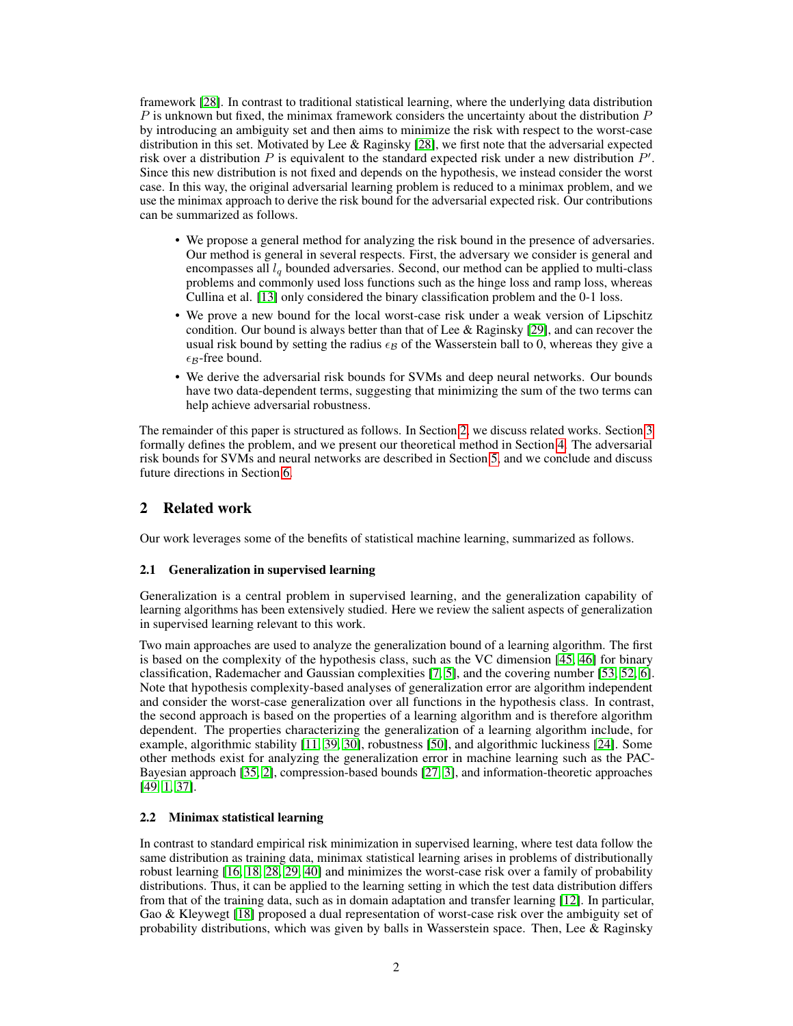framework [28]. In contrast to traditional statistical learning, where the underlying data distribution P is unknown but fixed, the minimax framework considers the uncertainty about the distribution  $P$ by introducing an ambiguity set and then aims to minimize the risk with respect to the worst-case distribution in this set. Motivated by Lee & Raginsky [28], we first note that the adversarial expected risk over a distribution  $P$  is equivalent to the standard expected risk under a new distribution  $P'$ . Since this new distribution is not fixed and depends on the hypothesis, we instead consider the worst case. In this way, the original adversarial learning problem is reduced to a minimax problem, and we use the minimax approach to derive the risk bound for the adversarial expected risk. Our contributions can be summarized as follows.

- We propose a general method for analyzing the risk bound in the presence of adversaries. Our method is general in several respects. First, the adversary we consider is general and encompasses all  $l_q$  bounded adversaries. Second, our method can be applied to multi-class problems and commonly used loss functions such as the hinge loss and ramp loss, whereas Cullina et al. [13] only considered the binary classification problem and the 0-1 loss.
- We prove a new bound for the local worst-case risk under a weak version of Lipschitz condition. Our bound is always better than that of Lee & Raginsky [29], and can recover the usual risk bound by setting the radius  $\epsilon_B$  of the Wasserstein ball to 0, whereas they give a  $\epsilon_B$ -free bound.
- We derive the adversarial risk bounds for SVMs and deep neural networks. Our bounds have two data-dependent terms, suggesting that minimizing the sum of the two terms can help achieve adversarial robustness.

The remainder of this paper is structured as follows. In Section 2, we discuss related works. Section 3 formally defines the problem, and we present our theoretical method in Section 4. The adversarial risk bounds for SVMs and neural networks are described in Section 5, and we conclude and discuss future directions in Section 6.

# 2 Related work

Our work leverages some of the benefits of statistical machine learning, summarized as follows.

# 2.1 Generalization in supervised learning

Generalization is a central problem in supervised learning, and the generalization capability of learning algorithms has been extensively studied. Here we review the salient aspects of generalization in supervised learning relevant to this work.

Two main approaches are used to analyze the generalization bound of a learning algorithm. The first is based on the complexity of the hypothesis class, such as the VC dimension [45, 46] for binary classification, Rademacher and Gaussian complexities [7, 5], and the covering number [53, 52, 6]. Note that hypothesis complexity-based analyses of generalization error are algorithm independent and consider the worst-case generalization over all functions in the hypothesis class. In contrast, the second approach is based on the properties of a learning algorithm and is therefore algorithm dependent. The properties characterizing the generalization of a learning algorithm include, for example, algorithmic stability [11, 39, 30], robustness [50], and algorithmic luckiness [24]. Some other methods exist for analyzing the generalization error in machine learning such as the PAC-Bayesian approach [35, 2], compression-based bounds [27, 3], and information-theoretic approaches [49, 1, 37].

## 2.2 Minimax statistical learning

In contrast to standard empirical risk minimization in supervised learning, where test data follow the same distribution as training data, minimax statistical learning arises in problems of distributionally robust learning [16, 18, 28, 29, 40] and minimizes the worst-case risk over a family of probability distributions. Thus, it can be applied to the learning setting in which the test data distribution differs from that of the training data, such as in domain adaptation and transfer learning [12]. In particular, Gao & Kleywegt [18] proposed a dual representation of worst-case risk over the ambiguity set of probability distributions, which was given by balls in Wasserstein space. Then, Lee  $\&$  Raginsky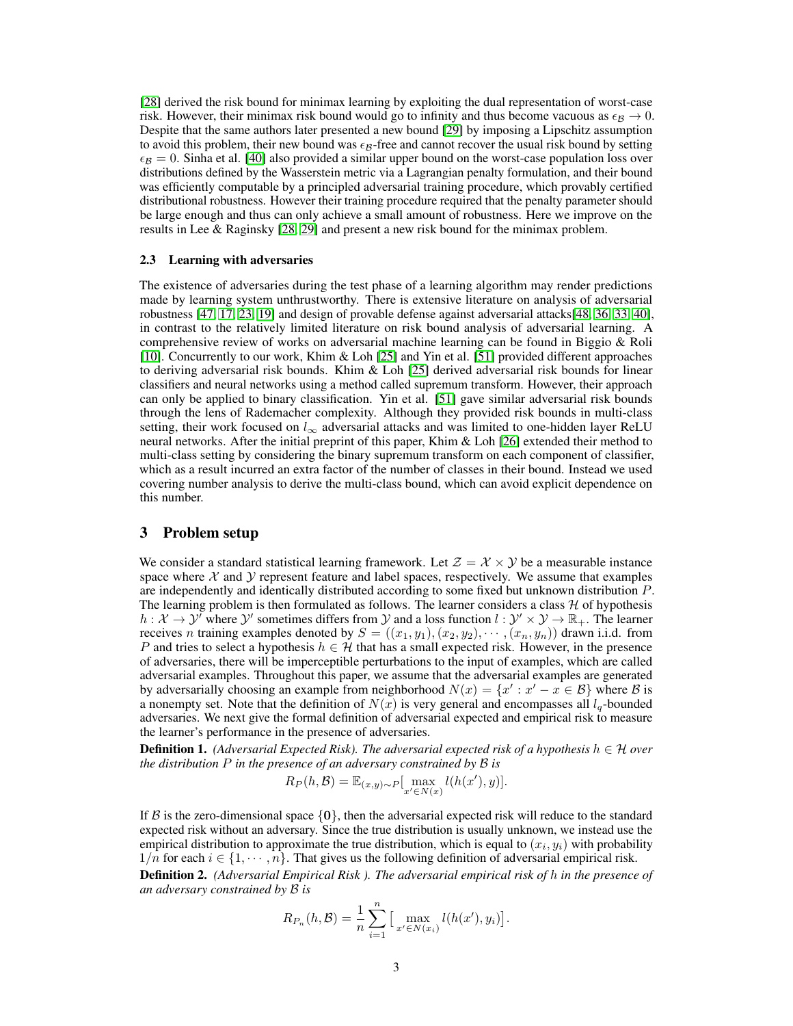[28] derived the risk bound for minimax learning by exploiting the dual representation of worst-case risk. However, their minimax risk bound would go to infinity and thus become vacuous as  $\epsilon_R \to 0$ . Despite that the same authors later presented a new bound [29] by imposing a Lipschitz assumption to avoid this problem, their new bound was  $\epsilon_B$ -free and cannot recover the usual risk bound by setting  $\epsilon_B = 0$ . Sinha et al. [40] also provided a similar upper bound on the worst-case population loss over distributions defined by the Wasserstein metric via a Lagrangian penalty formulation, and their bound was efficiently computable by a principled adversarial training procedure, which provably certified distributional robustness. However their training procedure required that the penalty parameter should be large enough and thus can only achieve a small amount of robustness. Here we improve on the results in Lee & Raginsky [28, 29] and present a new risk bound for the minimax problem.

#### 2.3 Learning with adversaries

The existence of adversaries during the test phase of a learning algorithm may render predictions made by learning system unthrustworthy. There is extensive literature on analysis of adversarial robustness [47, 17, 23, 19] and design of provable defense against adversarial attacks[48, 36, 33, 40], in contrast to the relatively limited literature on risk bound analysis of adversarial learning. A comprehensive review of works on adversarial machine learning can be found in Biggio & Roli [10]. Concurrently to our work, Khim & Loh [25] and Yin et al. [51] provided different approaches to deriving adversarial risk bounds. Khim & Loh [25] derived adversarial risk bounds for linear classifiers and neural networks using a method called supremum transform. However, their approach can only be applied to binary classification. Yin et al. [51] gave similar adversarial risk bounds through the lens of Rademacher complexity. Although they provided risk bounds in multi-class setting, their work focused on  $l_{\infty}$  adversarial attacks and was limited to one-hidden layer ReLU neural networks. After the initial preprint of this paper, Khim & Loh [26] extended their method to multi-class setting by considering the binary supremum transform on each component of classifier, which as a result incurred an extra factor of the number of classes in their bound. Instead we used covering number analysis to derive the multi-class bound, which can avoid explicit dependence on this number.

## 3 Problem setup

We consider a standard statistical learning framework. Let  $\mathcal{Z} = \mathcal{X} \times \mathcal{Y}$  be a measurable instance space where  $X$  and  $Y$  represent feature and label spaces, respectively. We assume that examples are independently and identically distributed according to some fixed but unknown distribution P. The learning problem is then formulated as follows. The learner considers a class  $H$  of hypothesis  $h: \mathcal{X} \to \mathcal{Y}$  where  $\mathcal{Y}'$  sometimes differs from  $\mathcal{Y}$  and a loss function  $l: \mathcal{Y}' \times \mathcal{Y} \to \mathbb{R}_+$ . The learner receives *n* training examples denoted by  $S = ((x_1, y_1), (x_2, y_2), \cdots, (x_n, y_n))$  drawn i.i.d. from P and tries to select a hypothesis  $h \in \mathcal{H}$  that has a small expected risk. However, in the presence of adversaries, there will be imperceptible perturbations to the input of examples, which are called adversarial examples. Throughout this paper, we assume that the adversarial examples are generated by adversarially choosing an example from neighborhood  $N(x) = \{x' : x' - x \in \mathcal{B}\}\$  where  $\mathcal B$  is a nonempty set. Note that the definition of  $N(x)$  is very general and encompasses all  $l_q$ -bounded adversaries. We next give the formal definition of adversarial expected and empirical risk to measure the learner's performance in the presence of adversaries.

**Definition 1.** *(Adversarial Expected Risk). The adversarial expected risk of a hypothesis*  $h \in H$  *over the distribution* P *in the presence of an adversary constrained by* B *is*

$$
R_P(h, \mathcal{B}) = \mathbb{E}_{(x,y)\sim P}[\max_{x' \in N(x)} l(h(x'), y)].
$$

If B is the zero-dimensional space  $\{0\}$ , then the adversarial expected risk will reduce to the standard expected risk without an adversary. Since the true distribution is usually unknown, we instead use the empirical distribution to approximate the true distribution, which is equal to  $(x_i, y_i)$  with probability  $1/n$  for each  $i \in \{1, \dots, n\}$ . That gives us the following definition of adversarial empirical risk. Definition 2. *(Adversarial Empirical Risk ). The adversarial empirical risk of* h *in the presence of an adversary constrained by* B *is*

$$
R_{P_n}(h, \mathcal{B}) = \frac{1}{n} \sum_{i=1}^n \left[ \max_{x' \in N(x_i)} l(h(x'), y_i) \right].
$$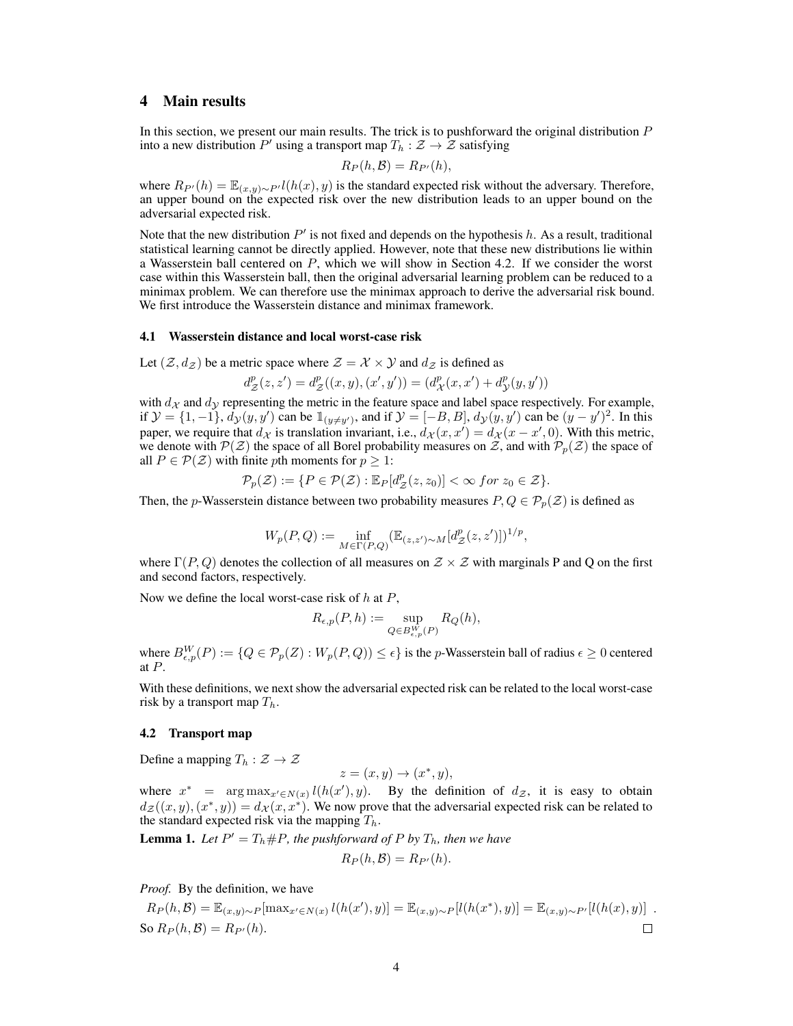# 4 Main results

In this section, we present our main results. The trick is to pushforward the original distribution P into a new distribution  $P'$  using a transport map  $T_h : \mathcal{Z} \to \mathcal{Z}$  satisfying

$$
R_P(h,\mathcal{B})=R_{P'}(h),
$$

where  $R_{P}(h) = \mathbb{E}_{(x,y)\sim P'} l(h(x), y)$  is the standard expected risk without the adversary. Therefore, an upper bound on the expected risk over the new distribution leads to an upper bound on the adversarial expected risk.

Note that the new distribution  $P'$  is not fixed and depends on the hypothesis  $h$ . As a result, traditional statistical learning cannot be directly applied. However, note that these new distributions lie within a Wasserstein ball centered on  $P$ , which we will show in Section 4.2. If we consider the worst case within this Wasserstein ball, then the original adversarial learning problem can be reduced to a minimax problem. We can therefore use the minimax approach to derive the adversarial risk bound. We first introduce the Wasserstein distance and minimax framework.

#### 4.1 Wasserstein distance and local worst-case risk

Let  $(\mathcal{Z}, d_{\mathcal{Z}})$  be a metric space where  $\mathcal{Z} = \mathcal{X} \times \mathcal{Y}$  and  $d_{\mathcal{Z}}$  is defined as

 $d_{\mathcal{Z}}^{p}(z, z') = d_{\mathcal{Z}}^{p}((x, y), (x', y')) = (d_{\mathcal{X}}^{p}(x, x') + d_{\mathcal{Y}}^{p}(y, y'))$ 

with  $d_{\mathcal{X}}$  and  $d_{\mathcal{Y}}$  representing the metric in the feature space and label space respectively. For example, if  $\mathcal{Y} = \{1, -1\}$ ,  $d_{\mathcal{Y}}(y, y')$  can be  $\mathbb{1}_{(y \neq y')}$ , and if  $\mathcal{Y} = [-B, B]$ ,  $d_{\mathcal{Y}}(y, y')$  can be  $(y - y')^2$ . In this paper, we require that  $d_{\mathcal{X}}$  is translation invariant, i.e.,  $d_{\mathcal{X}}(x, x') = d_{\mathcal{X}}(x - x', 0)$ . With this metric, we denote with  $\mathcal{P}(\mathcal{Z})$  the space of all Borel probability measures on Z, and with  $\mathcal{P}_p(\mathcal{Z})$  the space of all  $P \in \mathcal{P}(\mathcal{Z})$  with finite pth moments for  $p \geq 1$ :

$$
\mathcal{P}_p(\mathcal{Z}) := \{ P \in \mathcal{P}(\mathcal{Z}) : \mathbb{E}_P[d_{\mathcal{Z}}^p(z, z_0)] < \infty \text{ for } z_0 \in \mathcal{Z} \}.
$$

Then, the p-Wasserstein distance between two probability measures  $P, Q \in \mathcal{P}_p(\mathcal{Z})$  is defined as

$$
W_p(P,Q) := \inf_{M \in \Gamma(P,Q)} (\mathbb{E}_{(z,z') \sim M}[d_Z^p(z,z')] )^{1/p},
$$

where  $\Gamma(P,Q)$  denotes the collection of all measures on  $Z \times Z$  with marginals P and Q on the first and second factors, respectively.

Now we define the local worst-case risk of  $h$  at  $P$ ,

$$
R_{\epsilon,p}(P,h) := \sup_{Q \in B_{\epsilon,p}(P)} R_Q(h),
$$

where  $B_{\epsilon,p}^W(P) := \{Q \in \mathcal{P}_p(Z) : W_p(P,Q)\}\leq \epsilon\}$  is the *p*-Wasserstein ball of radius  $\epsilon \geq 0$  centered at P.

With these definitions, we next show the adversarial expected risk can be related to the local worst-case risk by a transport map  $T_h$ .

### 4.2 Transport map

Define a mapping  $T_h : \mathcal{Z} \to \mathcal{Z}$ 

$$
z = (x, y) \rightarrow (x^*, y),
$$

where  $x^*$  =  $\arg \max_{x' \in N(x)} l(h(x'), y)$ . By the definition of  $d_{\mathcal{Z}}$ , it is easy to obtain  $d_{\mathcal{Z}}((x,y),(x^*,y)) = d_{\mathcal{X}}(x,x^*)$ . We now prove that the adversarial expected risk can be related to the standard expected risk via the mapping  $T_h$ .

**Lemma 1.** Let  $P' = T_h \# P$ , the pushforward of P by  $T_h$ , then we have

$$
R_P(h, \mathcal{B}) = R_{P'}(h).
$$

*Proof.* By the definition, we have

$$
R_P(h, \mathcal{B}) = \mathbb{E}_{(x,y)\sim P}[\max_{x'\in N(x)} l(h(x'), y)] = \mathbb{E}_{(x,y)\sim P}[l(h(x^*), y)] = \mathbb{E}_{(x,y)\sim P'}[l(h(x), y)] .
$$
  
So  $R_P(h, \mathcal{B}) = R_{P'}(h)$ .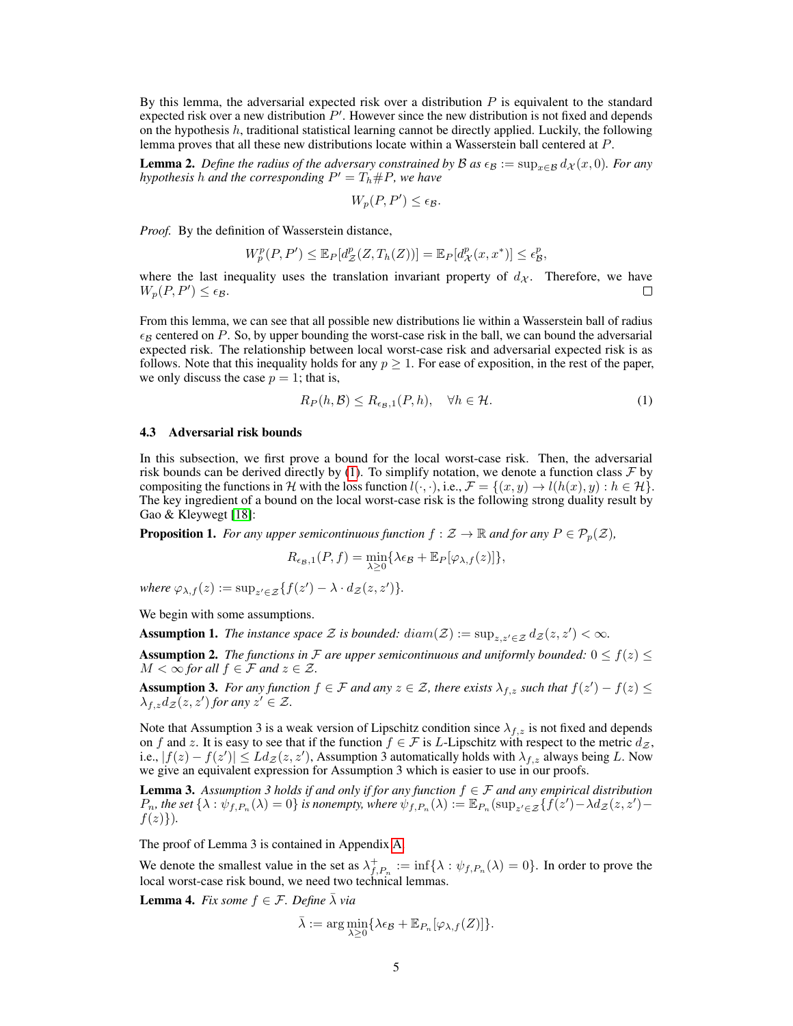By this lemma, the adversarial expected risk over a distribution  $P$  is equivalent to the standard expected risk over a new distribution  $P'$ . However since the new distribution is not fixed and depends on the hypothesis  $h$ , traditional statistical learning cannot be directly applied. Luckily, the following lemma proves that all these new distributions locate within a Wasserstein ball centered at P.

**Lemma 2.** *Define the radius of the adversary constrained by*  $B$  *as*  $\epsilon_B := \sup_{x \in B} d_X(x, 0)$ *. For any hypothesis h* and the corresponding  $P' = T_h \#P$ , we have

$$
W_p(P, P') \le \epsilon_{\mathcal{B}}.
$$

*Proof.* By the definition of Wasserstein distance,

$$
W_p^p(P, P') \leq \mathbb{E}_P[d_Z^p(Z, T_h(Z))] = \mathbb{E}_P[d_{\mathcal{X}}^p(x, x^*)] \leq \epsilon_{\mathcal{B}}^p,
$$

where the last inequality uses the translation invariant property of  $d_{\mathcal{X}}$ . Therefore, we have  $W_p(P, P') \leq \epsilon_p$  $W_p(P, P') \leq \epsilon_B.$ 

From this lemma, we can see that all possible new distributions lie within a Wasserstein ball of radius  $\epsilon_B$  centered on P. So, by upper bounding the worst-case risk in the ball, we can bound the adversarial expected risk. The relationship between local worst-case risk and adversarial expected risk is as follows. Note that this inequality holds for any  $p \geq 1$ . For ease of exposition, in the rest of the paper, we only discuss the case  $p = 1$ ; that is,

$$
R_P(h, \mathcal{B}) \le R_{\epsilon_{\mathcal{B}},1}(P, h), \quad \forall h \in \mathcal{H}.
$$
 (1)

#### 4.3 Adversarial risk bounds

In this subsection, we first prove a bound for the local worst-case risk. Then, the adversarial risk bounds can be derived directly by (1). To simplify notation, we denote a function class  $\mathcal F$  by compositing the functions in H with the loss function  $l(\cdot, \cdot)$ , i.e.,  $\mathcal{F} = \{(x, y) \to l(h(x), y) : h \in \mathcal{H}\}\.$ The key ingredient of a bound on the local worst-case risk is the following strong duality result by Gao & Kleywegt [18]:

**Proposition 1.** *For any upper semicontinuous function*  $f : \mathcal{Z} \to \mathbb{R}$  *and for any*  $P \in \mathcal{P}_p(\mathcal{Z})$ *,* 

$$
R_{\epsilon_B,1}(P,f)=\min_{\lambda\geq 0}\{\lambda\epsilon_B+\mathbb{E}_P[\varphi_{\lambda,f}(z)]\},
$$

where  $\varphi_{\lambda,f}(z) := \sup_{z' \in \mathcal{Z}} \{f(z') - \lambda \cdot d_{\mathcal{Z}}(z, z')\}.$ 

We begin with some assumptions.

Assumption 1. *The instance space*  $\mathcal Z$  *is bounded:*  $diam(\mathcal Z) := \sup_{z,z'\in\mathcal Z} d_{\mathcal Z}(z,z') < \infty$ .

**Assumption 2.** *The functions in* F are upper semicontinuous and uniformly bounded:  $0 \le f(z) \le$  $M < \infty$  for all  $f \in \mathcal{F}$  and  $z \in \mathcal{Z}$ .

**Assumption 3.** For any function  $f \in \mathcal{F}$  and any  $z \in \mathcal{Z}$ , there exists  $\lambda_{f,z}$  such that  $f(z') - f(z) \leq$  $\lambda_{f,z}d_{\mathcal{Z}}(z,z')$  for any  $z' \in \mathcal{Z}$ .

Note that Assumption 3 is a weak version of Lipschitz condition since  $\lambda_{f,z}$  is not fixed and depends on f and z. It is easy to see that if the function  $f \in \mathcal{F}$  is L-Lipschitz with respect to the metric  $d_{\mathcal{Z}}$ , i.e.,  $|f(z) - f(z')| \leq L dz(z, z')$ , Assumption 3 automatically holds with  $\lambda_{f,z}$  always being L. Now we give an equivalent expression for Assumption 3 which is easier to use in our proofs.

**Lemma 3.** Assumption 3 holds if and only if for any function  $f \in \mathcal{F}$  and any empirical distribution  $P_n$ , the set  $\{\lambda : \psi_{f,P_n}(\lambda) = 0\}$  is nonempty, where  $\psi_{f,P_n}(\lambda) := \mathbb{E}_{P_n}(\sup_{z' \in \mathcal{Z}} \{f(z') - \lambda d_{\mathcal{Z}}(z, z') - \lambda d_{\mathcal{Z}}(z, z')\}$  $f(z)$ .

The proof of Lemma 3 is contained in Appendix A.

We denote the smallest value in the set as  $\lambda_{f,P_n}^+ := \inf \{ \lambda : \psi_{f,P_n}(\lambda) = 0 \}.$  In order to prove the local worst-case risk bound, we need two technical lemmas.

**Lemma 4.** *Fix some*  $f \in \mathcal{F}$ *. Define*  $\bar{\lambda}$  *via* 

$$
\bar{\lambda} := \arg \min_{\lambda \geq 0} \{ \lambda \epsilon_{\mathcal{B}} + \mathbb{E}_{P_n} [\varphi_{\lambda, f}(Z)] \}.
$$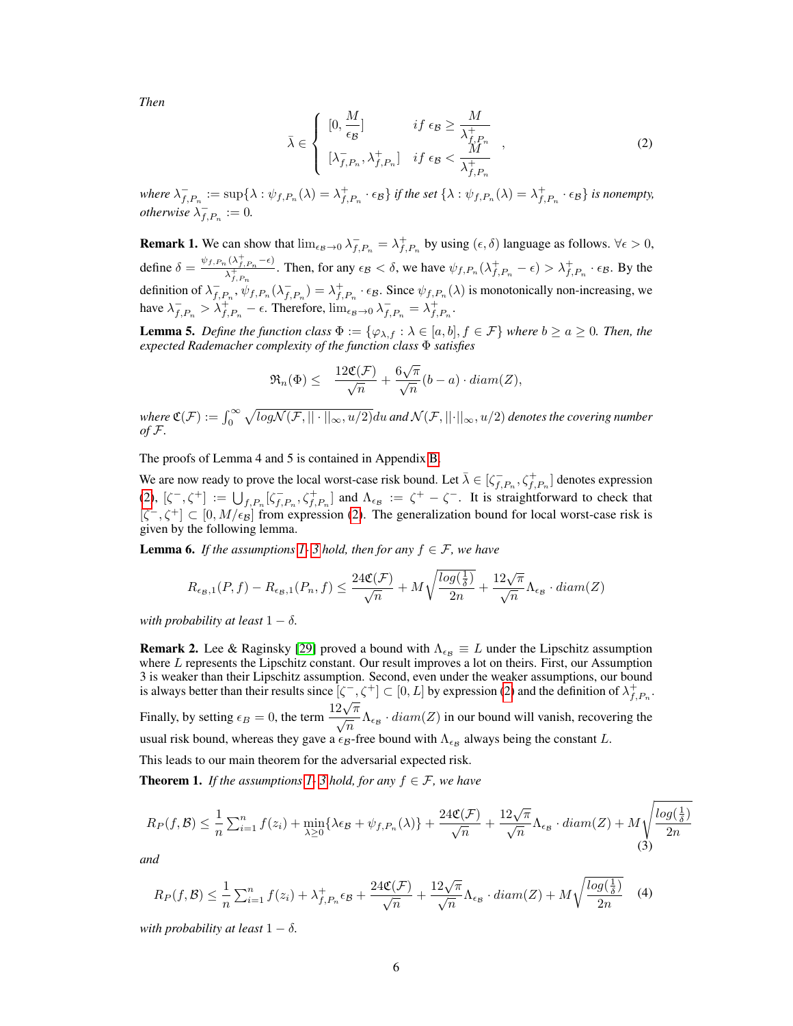*Then*

$$
\bar{\lambda} \in \begin{cases}\n[0, \frac{M}{\epsilon_B}] & \text{if } \epsilon_B \ge \frac{M}{\lambda_{f, P_n}^+} \\
[\lambda_{f, P_n}^-, \lambda_{f, P_n}^+] & \text{if } \epsilon_B < \frac{M}{\lambda_{f, P_n}^+}\n\end{cases} \tag{2}
$$

where  $\lambda_{f,P_n}^- := \sup \{ \lambda : \psi_{f,P_n}(\lambda) = \lambda_{f,P_n}^+ \cdot \epsilon_{\mathcal{B}} \}$  *if the set*  $\{ \lambda : \psi_{f,P_n}(\lambda) = \lambda_{f,P_n}^+ \cdot \epsilon_{\mathcal{B}} \}$  *is nonempty, otherwise*  $\lambda_{f,P_n}^- := 0$ .

**Remark 1.** We can show that  $\lim_{\epsilon_B \to 0} \lambda_{f,P_n}^- = \lambda_{f,P_n}^+$  by using  $(\epsilon, \delta)$  language as follows.  $\forall \epsilon > 0$ , define  $\delta = \frac{\psi_{f, P_n}(\lambda_{f, P_n}^+ - \epsilon)}{\lambda_{f, P_n}^+}$  $\frac{\lambda_{f,P_n}^{(\lambda_{f,P_n}-\epsilon)}}{\lambda_{f,P_n}^{+}}$ . Then, for any  $\epsilon_{\mathcal{B}} < \delta$ , we have  $\psi_{f,P_n}(\lambda_{f,P_n}^+ - \epsilon) > \lambda_{f,P_n}^+ \cdot \epsilon_{\mathcal{B}}$ . By the definition of  $\lambda_{f,P_n}^{-\lambda_{f,P_n}}$ ,  $\psi_{f,P_n}(\lambda_{f,P_n}^{-}) = \lambda_{f,P_n}^{+} \cdot \epsilon_{\mathcal{B}}$ . Since  $\psi_{f,P_n}(\lambda)$  is monotonically non-increasing, we have  $\lambda_{f,P_n}^- > \lambda_{f,P_n}^+ - \epsilon$ . Therefore,  $\lim_{\epsilon_B \to 0} \lambda_{f,P_n}^- = \lambda_{f,P_n}^+$ .

**Lemma 5.** *Define the function class*  $\Phi := {\varphi_{\lambda,f} : \lambda \in [a,b], f \in \mathcal{F}}$  *where*  $b \ge a \ge 0$ *. Then, the expected Rademacher complexity of the function class* Φ *satisfies*

$$
\Re_n(\Phi) \leq \frac{12\mathfrak{C}(\mathcal{F})}{\sqrt{n}} + \frac{6\sqrt{\pi}}{\sqrt{n}}(b-a) \cdot diam(Z),
$$

where  $C(\mathcal{F}) := \int_0^\infty \sqrt{log\mathcal{N}(\mathcal{F},||\cdot||_\infty,u/2)}du$  and  $\mathcal{N}(\mathcal{F},||\cdot||_\infty,u/2)$  denotes the covering number *of* F*.*

The proofs of Lemma 4 and 5 is contained in Appendix B.

We are now ready to prove the local worst-case risk bound. Let  $\bar{\lambda} \in [\zeta_{f,P_n}^{-}, \zeta_{f,P_n}^{+}]$  denotes expression (2),  $[\zeta^-, \zeta^+] := \bigcup_{f, P_n} [\zeta_{f, P_n}^-, \zeta_{f, P_n}^+]$  and  $\Lambda_{\epsilon_B} := \zeta^+ - \zeta^-$ . It is straightforward to check that  $[\zeta^-, \zeta^+] \subset [0, M/\epsilon_B]$  from expression (2). The generalization bound for local worst-case risk is given by the following lemma.

**Lemma 6.** *If the assumptions 1-3 hold, then for any*  $f \in \mathcal{F}$ *, we have* 

$$
R_{\epsilon_{\mathcal{B}},1}(P,f) - R_{\epsilon_{\mathcal{B}},1}(P_n,f) \le \frac{24\mathfrak{C}(\mathcal{F})}{\sqrt{n}} + M\sqrt{\frac{\log(\frac{1}{\delta})}{2n}} + \frac{12\sqrt{\pi}}{\sqrt{n}}\Lambda_{\epsilon_{\mathcal{B}}} \cdot diam(Z)
$$

*with probability at least*  $1 - \delta$ *.* 

**Remark 2.** Lee & Raginsky [29] proved a bound with  $\Lambda_{\epsilon} \equiv L$  under the Lipschitz assumption where L represents the Lipschitz constant. Our result improves a lot on theirs. First, our Assumption 3 is weaker than their Lipschitz assumption. Second, even under the weaker assumptions, our bound is always better than their results since  $[\zeta^-, \zeta^+] \subset [0, L]$  by expression (2) and the definition of  $\lambda_{f, P_n}^+$ . Finally, by setting  $\epsilon_B = 0$ , the term  $\frac{12\sqrt{\pi}}{\sqrt{n}} \Lambda_{\epsilon_B} \cdot diam(Z)$  in our bound will vanish, recovering the usual risk bound, whereas they gave a  $\epsilon_B$ -free bound with  $\Lambda_{\epsilon_B}$  always being the constant L.

This leads to our main theorem for the adversarial expected risk.

**Theorem 1.** *If the assumptions 1-3 hold, for any*  $f \in \mathcal{F}$ *, we have* 

$$
R_P(f, \mathcal{B}) \le \frac{1}{n} \sum_{i=1}^n f(z_i) + \min_{\lambda \ge 0} \{ \lambda \epsilon_{\mathcal{B}} + \psi_{f, P_n}(\lambda) \} + \frac{24\mathfrak{C}(\mathcal{F})}{\sqrt{n}} + \frac{12\sqrt{\pi}}{\sqrt{n}} \Lambda_{\epsilon_{\mathcal{B}}} \cdot diam(Z) + M \sqrt{\frac{\log(\frac{1}{\delta})}{2n}}
$$

*and*

$$
R_P(f,\mathcal{B}) \le \frac{1}{n} \sum_{i=1}^n f(z_i) + \lambda_{f,P_n}^+ \epsilon_{\mathcal{B}} + \frac{24\mathfrak{C}(\mathcal{F})}{\sqrt{n}} + \frac{12\sqrt{\pi}}{\sqrt{n}} \Lambda_{\epsilon_{\mathcal{B}}} \cdot diam(Z) + M \sqrt{\frac{\log(\frac{1}{\delta})}{2n}} \quad (4)
$$

*with probability at least*  $1 - \delta$ *.*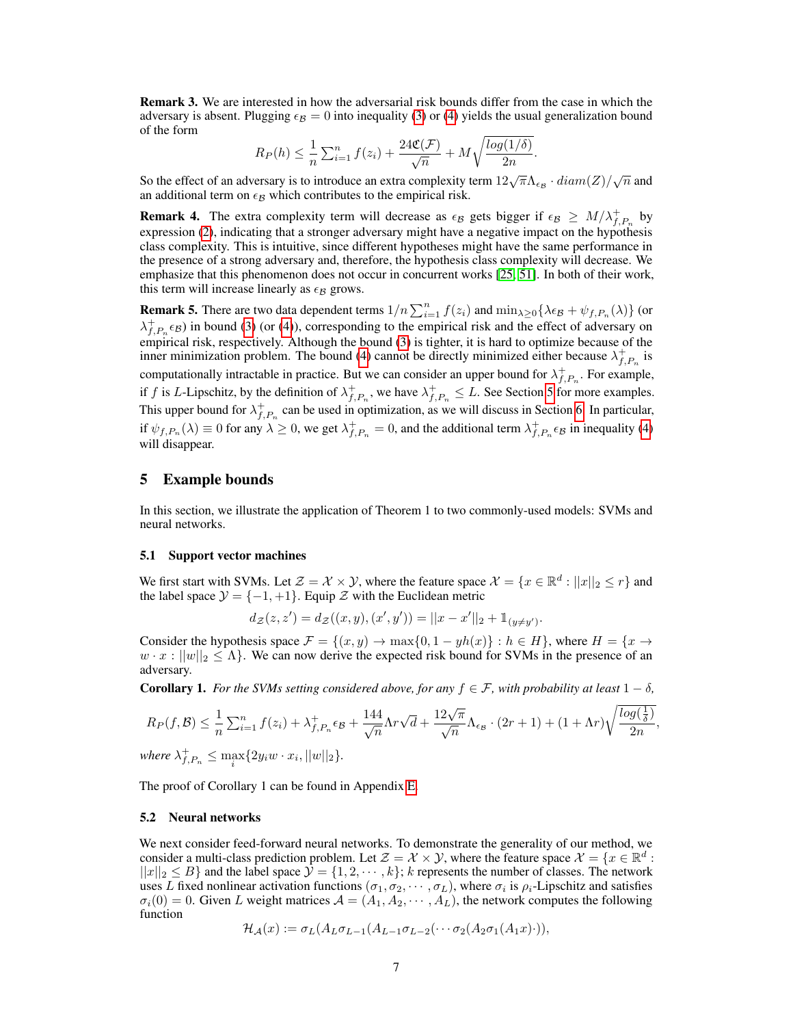Remark 3. We are interested in how the adversarial risk bounds differ from the case in which the adversary is absent. Plugging  $\epsilon_B = 0$  into inequality (3) or (4) yields the usual generalization bound of the form

$$
R_P(h) \leq \frac{1}{n} \sum_{i=1}^n f(z_i) + \frac{24\mathfrak{C}(\mathcal{F})}{\sqrt{n}} + M\sqrt{\frac{\log(1/\delta)}{2n}}.
$$

So the effect of an adversary is to introduce an extra complexity term  $12\sqrt{\pi}\Lambda_{\epsilon_{\mathcal{B}}}\cdot diam(Z)/\sqrt{n}$  and an additional term on  $\epsilon_B$  which contributes to the empirical risk.

**Remark 4.** The extra complexity term will decrease as  $\epsilon_B$  gets bigger if  $\epsilon_B \geq M/\lambda_{f,P_n}^+$  by expression (2), indicating that a stronger adversary might have a negative impact on the hypothesis class complexity. This is intuitive, since different hypotheses might have the same performance in the presence of a strong adversary and, therefore, the hypothesis class complexity will decrease. We emphasize that this phenomenon does not occur in concurrent works [25, 51]. In both of their work, this term will increase linearly as  $\epsilon_B$  grows.

**Remark 5.** There are two data dependent terms  $1/n \sum_{i=1}^{n} f(z_i)$  and  $\min_{\lambda \geq 0} {\lambda \epsilon_B + \psi_{f,P_n}(\lambda)}$  (or  $\lambda_{f,P_n}^+( \epsilon_B)$  in bound (3) (or (4)), corresponding to the empirical risk and the effect of adversary on empirical risk, respectively. Although the bound (3) is tighter, it is hard to optimize because of the inner minimization problem. The bound (4) cannot be directly minimized either because  $\lambda_{f,P_n}^+$  is computationally intractable in practice. But we can consider an upper bound for  $\lambda_{f,P_n}^+$ . For example, if f is L-Lipschitz, by the definition of  $\lambda_{f,P_n}^+$ , we have  $\lambda_{f,P_n}^+ \leq L$ . See Section 5 for more examples. This upper bound for  $\lambda_{f,P_n}^+$  can be used in optimization, as we will discuss in Section 6. In particular, if  $\psi_{f,P_n}(\lambda) \equiv 0$  for any  $\lambda \ge 0$ , we get  $\lambda_{f,P_n}^+ = 0$ , and the additional term  $\lambda_{f,P_n}^+ \epsilon_B$  in inequality (4) will disappear.

# 5 Example bounds

In this section, we illustrate the application of Theorem 1 to two commonly-used models: SVMs and neural networks.

#### 5.1 Support vector machines

We first start with SVMs. Let  $\mathcal{Z} = \mathcal{X} \times \mathcal{Y}$ , where the feature space  $\mathcal{X} = \{x \in \mathbb{R}^d : ||x||_2 \le r\}$  and the label space  $\mathcal{Y} = \{-1, +1\}$ . Equip  $\mathcal Z$  with the Euclidean metric

$$
d_{\mathcal{Z}}(z, z') = d_{\mathcal{Z}}((x, y), (x', y')) = ||x - x'||_2 + \mathbb{1}_{(y \neq y')}.
$$

Consider the hypothesis space  $\mathcal{F} = \{(x, y) \to \max\{0, 1 - yh(x)\} : h \in H\}$ , where  $H = \{x \to$  $w \cdot x : ||w||_2 \leq \Lambda$ . We can now derive the expected risk bound for SVMs in the presence of an adversary.

**Corollary 1.** *For the SVMs setting considered above, for any*  $f \in \mathcal{F}$ , with probability at least  $1 - \delta$ ,

$$
R_P(f,\mathcal{B}) \leq \frac{1}{n} \sum_{i=1}^n f(z_i) + \lambda_{f,P_n}^+ \epsilon_{\mathcal{B}} + \frac{144}{\sqrt{n}} \Lambda r \sqrt{d} + \frac{12\sqrt{\pi}}{\sqrt{n}} \Lambda_{\epsilon_{\mathcal{B}}} \cdot (2r+1) + (1+\Lambda r) \sqrt{\frac{\log(\frac{1}{\delta})}{2n}},
$$
  
where  $\lambda_{f,P_n}^+ \leq \max_i \{2y_i w \cdot x_i, ||w||_2\}.$ 

The proof of Corollary 1 can be found in Appendix E.

#### 5.2 Neural networks

We next consider feed-forward neural networks. To demonstrate the generality of our method, we consider a multi-class prediction problem. Let  $\mathcal{Z} = \mathcal{X} \times \mathcal{Y}$ , where the feature space  $\mathcal{X} = \{x \in \mathbb{R}^d :$  $||x||_2 \leq B$  and the label space  $\mathcal{Y} = \{1, 2, \dots, k\}; k$  represents the number of classes. The network uses L fixed nonlinear activation functions  $(\sigma_1, \sigma_2, \cdots, \sigma_L)$ , where  $\sigma_i$  is  $\rho_i$ -Lipschitz and satisfies  $\sigma_i(0) = 0$ . Given L weight matrices  $\mathcal{A} = (A_1, A_2, \dots, A_L)$ , the network computes the following function

$$
\mathcal{H}_{\mathcal{A}}(x) := \sigma_L(A_L \sigma_{L-1}(A_{L-1} \sigma_{L-2}(\cdots \sigma_2(A_2 \sigma_1(A_1 x)))),
$$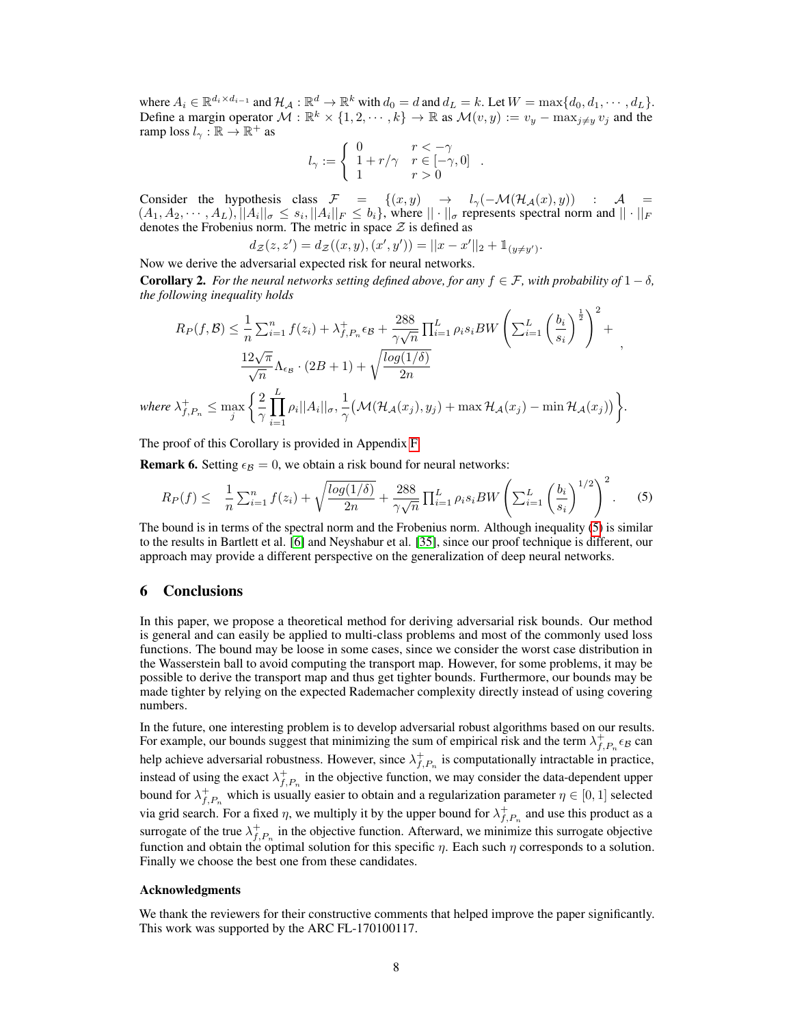where  $A_i \in \mathbb{R}^{d_i \times d_{i-1}}$  and  $\mathcal{H}_{\mathcal{A}} : \mathbb{R}^d \to \mathbb{R}^k$  with  $d_0 = d$  and  $d_L = k$ . Let  $W = \max\{d_0, d_1, \dots, d_L\}$ . Define a margin operator  $\mathcal{M}: \mathbb{R}^k \times \{1, 2, \dots, k\} \to \mathbb{R}$  as  $\mathcal{M}(v, y) := v_y - \max_{j \neq y} v_j$  and the ramp loss  $l_{\gamma}: \mathbb{R} \to \mathbb{R}^+$  as

$$
l_\gamma:=\left\{\begin{array}{ll} 0 & r<-\gamma\\ 1+r/\gamma & r\in[-\gamma,0]\\ 1 & r>0 \end{array}\right..
$$

Consider the hypothesis class  $\mathcal{F} = \{(x, y) \rightarrow l_{\gamma}(-\mathcal{M}(\mathcal{H}_{\mathcal{A}}(x), y)) : \mathcal{A} =$  $(A_1, A_2, \cdots, A_L), ||A_i||_{\sigma} \le s_i, ||A_i||_F \le b_i$ , where  $||\cdot||_{\sigma}$  represents spectral norm and  $||\cdot||_F$ denotes the Frobenius norm. The metric in space  $\mathcal Z$  is defined as

$$
d_{\mathcal{Z}}(z, z') = d_{\mathcal{Z}}((x, y), (x', y')) = ||x - x'||_2 + \mathbb{1}_{(y \neq y')}.
$$

Now we derive the adversarial expected risk for neural networks.

**Corollary 2.** For the neural networks setting defined above, for any  $f \in \mathcal{F}$ , with probability of  $1 - \delta$ , *the following inequality holds*

$$
R_P(f, \mathcal{B}) \leq \frac{1}{n} \sum_{i=1}^n f(z_i) + \lambda_{f, P_n}^+ \epsilon_{\mathcal{B}} + \frac{288}{\gamma \sqrt{n}} \prod_{i=1}^L \rho_i s_i BW \left( \sum_{i=1}^L \left( \frac{b_i}{s_i} \right)^{\frac{1}{2}} \right)^2 + \frac{12\sqrt{\pi}}{\sqrt{n}} \Lambda_{\epsilon_{\mathcal{B}}} \cdot (2B + 1) + \sqrt{\frac{\log(1/\delta)}{2n}}
$$
  
where  $\lambda_{f, P_n}^+ \leq \max_j \left\{ \frac{2}{\gamma} \prod_{i=1}^L \rho_i ||A_i||_{\sigma}, \frac{1}{\gamma} \left( \mathcal{M}(\mathcal{H}_{\mathcal{A}}(x_j), y_j) + \max \mathcal{H}_{\mathcal{A}}(x_j) - \min \mathcal{H}_{\mathcal{A}}(x_j) \right) \right\}.$ 

The proof of this Corollary is provided in Appendix F.

**Remark 6.** Setting  $\epsilon_B = 0$ , we obtain a risk bound for neural networks:

$$
R_P(f) \leq \frac{1}{n} \sum_{i=1}^n f(z_i) + \sqrt{\frac{\log(1/\delta)}{2n}} + \frac{288}{\gamma \sqrt{n}} \prod_{i=1}^L \rho_i s_i BW \left( \sum_{i=1}^L \left( \frac{b_i}{s_i} \right)^{1/2} \right)^2.
$$
 (5)

The bound is in terms of the spectral norm and the Frobenius norm. Although inequality (5) is similar to the results in Bartlett et al. [6] and Neyshabur et al. [35], since our proof technique is different, our approach may provide a different perspective on the generalization of deep neural networks.

## 6 Conclusions

In this paper, we propose a theoretical method for deriving adversarial risk bounds. Our method is general and can easily be applied to multi-class problems and most of the commonly used loss functions. The bound may be loose in some cases, since we consider the worst case distribution in the Wasserstein ball to avoid computing the transport map. However, for some problems, it may be possible to derive the transport map and thus get tighter bounds. Furthermore, our bounds may be made tighter by relying on the expected Rademacher complexity directly instead of using covering numbers.

In the future, one interesting problem is to develop adversarial robust algorithms based on our results. For example, our bounds suggest that minimizing the sum of empirical risk and the term  $\lambda_{f,P_n}^+ \epsilon_B$  can help achieve adversarial robustness. However, since  $\lambda_{f,P_n}^+$  is computationally intractable in practice, instead of using the exact  $\lambda_{f,P_n}^+$  in the objective function, we may consider the data-dependent upper bound for  $\lambda_{f,P_n}^+$  which is usually easier to obtain and a regularization parameter  $\eta \in [0,1]$  selected via grid search. For a fixed  $\eta$ , we multiply it by the upper bound for  $\lambda_{f,P_n}^+$  and use this product as a surrogate of the true  $\lambda_{f,P_n}^+$  in the objective function. Afterward, we minimize this surrogate objective function and obtain the optimal solution for this specific  $\eta$ . Each such  $\eta$  corresponds to a solution. Finally we choose the best one from these candidates.

#### Acknowledgments

We thank the reviewers for their constructive comments that helped improve the paper significantly. This work was supported by the ARC FL-170100117.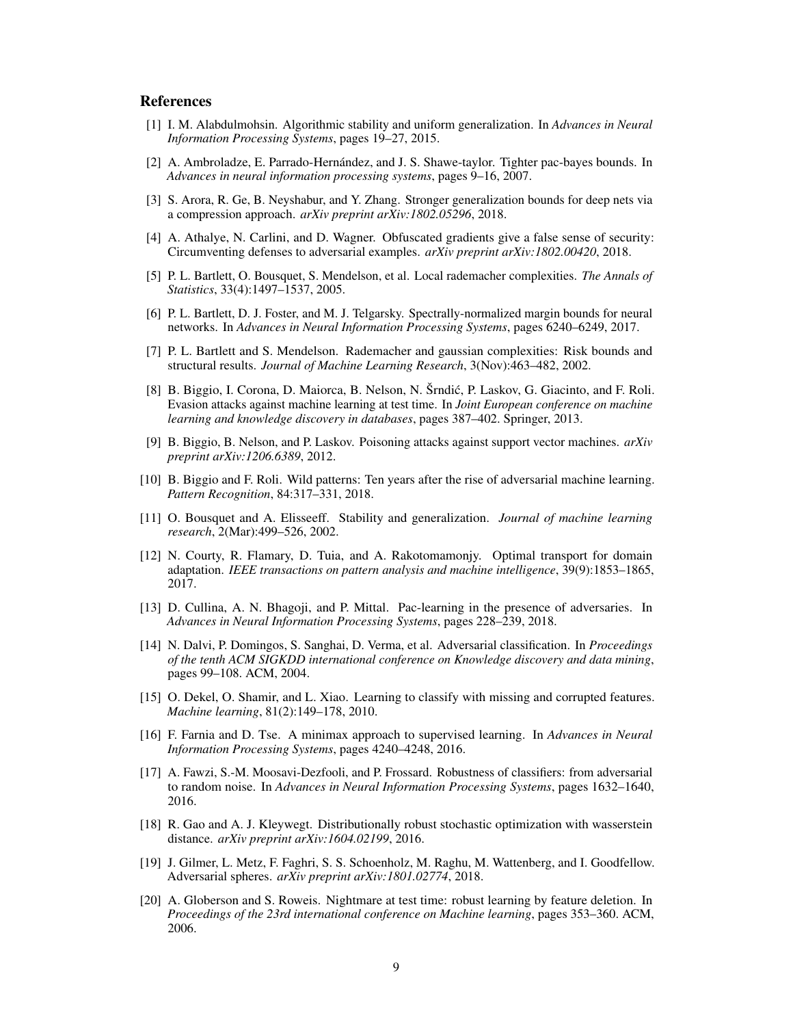# References

- [1] I. M. Alabdulmohsin. Algorithmic stability and uniform generalization. In *Advances in Neural Information Processing Systems*, pages 19–27, 2015.
- [2] A. Ambroladze, E. Parrado-Hernández, and J. S. Shawe-taylor. Tighter pac-bayes bounds. In *Advances in neural information processing systems*, pages 9–16, 2007.
- [3] S. Arora, R. Ge, B. Neyshabur, and Y. Zhang. Stronger generalization bounds for deep nets via a compression approach. *arXiv preprint arXiv:1802.05296*, 2018.
- [4] A. Athalye, N. Carlini, and D. Wagner. Obfuscated gradients give a false sense of security: Circumventing defenses to adversarial examples. *arXiv preprint arXiv:1802.00420*, 2018.
- [5] P. L. Bartlett, O. Bousquet, S. Mendelson, et al. Local rademacher complexities. *The Annals of Statistics*, 33(4):1497–1537, 2005.
- [6] P. L. Bartlett, D. J. Foster, and M. J. Telgarsky. Spectrally-normalized margin bounds for neural networks. In *Advances in Neural Information Processing Systems*, pages 6240–6249, 2017.
- [7] P. L. Bartlett and S. Mendelson. Rademacher and gaussian complexities: Risk bounds and structural results. *Journal of Machine Learning Research*, 3(Nov):463–482, 2002.
- [8] B. Biggio, I. Corona, D. Maiorca, B. Nelson, N. Šrndic, P. Laskov, G. Giacinto, and F. Roli. ´ Evasion attacks against machine learning at test time. In *Joint European conference on machine learning and knowledge discovery in databases*, pages 387–402. Springer, 2013.
- [9] B. Biggio, B. Nelson, and P. Laskov. Poisoning attacks against support vector machines. *arXiv preprint arXiv:1206.6389*, 2012.
- [10] B. Biggio and F. Roli. Wild patterns: Ten years after the rise of adversarial machine learning. *Pattern Recognition*, 84:317–331, 2018.
- [11] O. Bousquet and A. Elisseeff. Stability and generalization. *Journal of machine learning research*, 2(Mar):499–526, 2002.
- [12] N. Courty, R. Flamary, D. Tuia, and A. Rakotomamonjy. Optimal transport for domain adaptation. *IEEE transactions on pattern analysis and machine intelligence*, 39(9):1853–1865, 2017.
- [13] D. Cullina, A. N. Bhagoji, and P. Mittal. Pac-learning in the presence of adversaries. In *Advances in Neural Information Processing Systems*, pages 228–239, 2018.
- [14] N. Dalvi, P. Domingos, S. Sanghai, D. Verma, et al. Adversarial classification. In *Proceedings of the tenth ACM SIGKDD international conference on Knowledge discovery and data mining*, pages 99–108. ACM, 2004.
- [15] O. Dekel, O. Shamir, and L. Xiao. Learning to classify with missing and corrupted features. *Machine learning*, 81(2):149–178, 2010.
- [16] F. Farnia and D. Tse. A minimax approach to supervised learning. In *Advances in Neural Information Processing Systems*, pages 4240–4248, 2016.
- [17] A. Fawzi, S.-M. Moosavi-Dezfooli, and P. Frossard. Robustness of classifiers: from adversarial to random noise. In *Advances in Neural Information Processing Systems*, pages 1632–1640, 2016.
- [18] R. Gao and A. J. Kleywegt. Distributionally robust stochastic optimization with wasserstein distance. *arXiv preprint arXiv:1604.02199*, 2016.
- [19] J. Gilmer, L. Metz, F. Faghri, S. S. Schoenholz, M. Raghu, M. Wattenberg, and I. Goodfellow. Adversarial spheres. *arXiv preprint arXiv:1801.02774*, 2018.
- [20] A. Globerson and S. Roweis. Nightmare at test time: robust learning by feature deletion. In *Proceedings of the 23rd international conference on Machine learning*, pages 353–360. ACM, 2006.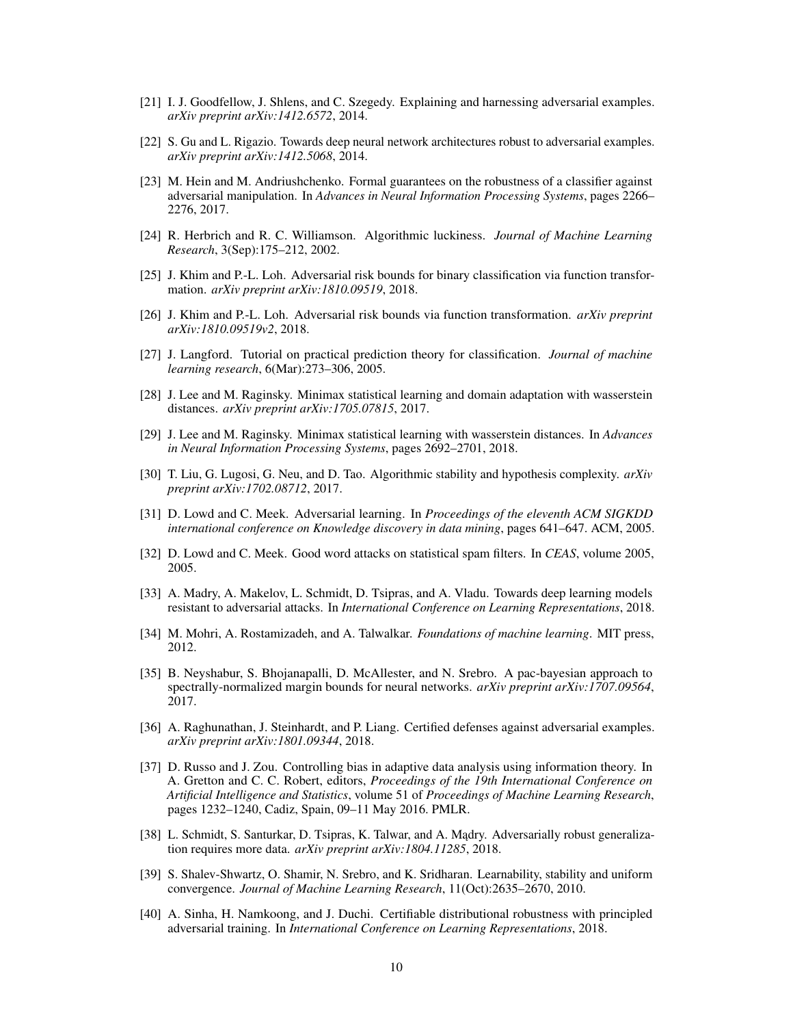- [21] I. J. Goodfellow, J. Shlens, and C. Szegedy. Explaining and harnessing adversarial examples. *arXiv preprint arXiv:1412.6572*, 2014.
- [22] S. Gu and L. Rigazio. Towards deep neural network architectures robust to adversarial examples. *arXiv preprint arXiv:1412.5068*, 2014.
- [23] M. Hein and M. Andriushchenko. Formal guarantees on the robustness of a classifier against adversarial manipulation. In *Advances in Neural Information Processing Systems*, pages 2266– 2276, 2017.
- [24] R. Herbrich and R. C. Williamson. Algorithmic luckiness. *Journal of Machine Learning Research*, 3(Sep):175–212, 2002.
- [25] J. Khim and P.-L. Loh. Adversarial risk bounds for binary classification via function transformation. *arXiv preprint arXiv:1810.09519*, 2018.
- [26] J. Khim and P.-L. Loh. Adversarial risk bounds via function transformation. *arXiv preprint arXiv:1810.09519v2*, 2018.
- [27] J. Langford. Tutorial on practical prediction theory for classification. *Journal of machine learning research*, 6(Mar):273–306, 2005.
- [28] J. Lee and M. Raginsky. Minimax statistical learning and domain adaptation with wasserstein distances. *arXiv preprint arXiv:1705.07815*, 2017.
- [29] J. Lee and M. Raginsky. Minimax statistical learning with wasserstein distances. In *Advances in Neural Information Processing Systems*, pages 2692–2701, 2018.
- [30] T. Liu, G. Lugosi, G. Neu, and D. Tao. Algorithmic stability and hypothesis complexity. *arXiv preprint arXiv:1702.08712*, 2017.
- [31] D. Lowd and C. Meek. Adversarial learning. In *Proceedings of the eleventh ACM SIGKDD international conference on Knowledge discovery in data mining*, pages 641–647. ACM, 2005.
- [32] D. Lowd and C. Meek. Good word attacks on statistical spam filters. In *CEAS*, volume 2005, 2005.
- [33] A. Madry, A. Makelov, L. Schmidt, D. Tsipras, and A. Vladu. Towards deep learning models resistant to adversarial attacks. In *International Conference on Learning Representations*, 2018.
- [34] M. Mohri, A. Rostamizadeh, and A. Talwalkar. *Foundations of machine learning*. MIT press, 2012.
- [35] B. Neyshabur, S. Bhojanapalli, D. McAllester, and N. Srebro. A pac-bayesian approach to spectrally-normalized margin bounds for neural networks. *arXiv preprint arXiv:1707.09564*, 2017.
- [36] A. Raghunathan, J. Steinhardt, and P. Liang. Certified defenses against adversarial examples. *arXiv preprint arXiv:1801.09344*, 2018.
- [37] D. Russo and J. Zou. Controlling bias in adaptive data analysis using information theory. In A. Gretton and C. C. Robert, editors, *Proceedings of the 19th International Conference on Artificial Intelligence and Statistics*, volume 51 of *Proceedings of Machine Learning Research*, pages 1232–1240, Cadiz, Spain, 09–11 May 2016. PMLR.
- [38] L. Schmidt, S. Santurkar, D. Tsipras, K. Talwar, and A. Mądry. Adversarially robust generalization requires more data. *arXiv preprint arXiv:1804.11285*, 2018.
- [39] S. Shalev-Shwartz, O. Shamir, N. Srebro, and K. Sridharan. Learnability, stability and uniform convergence. *Journal of Machine Learning Research*, 11(Oct):2635–2670, 2010.
- [40] A. Sinha, H. Namkoong, and J. Duchi. Certifiable distributional robustness with principled adversarial training. In *International Conference on Learning Representations*, 2018.